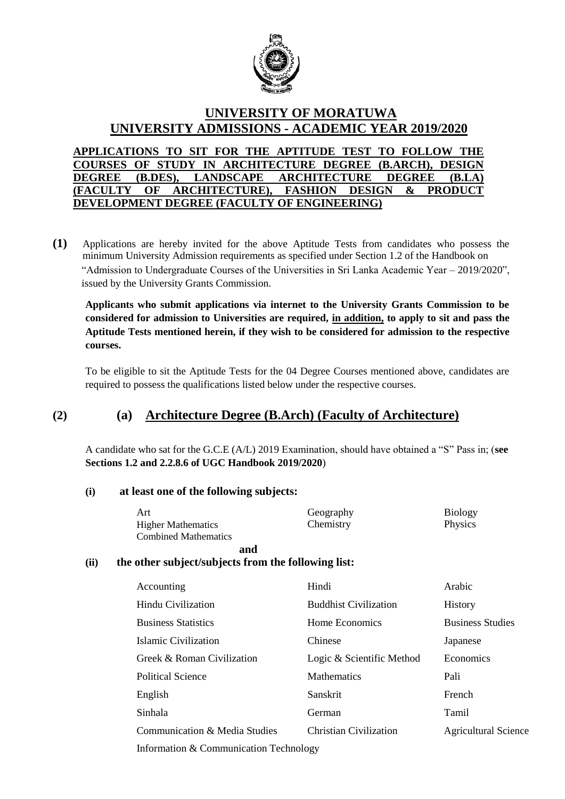

# **UNIVERSITY OF MORATUWA UNIVERSITY ADMISSIONS - ACADEMIC YEAR 2019/2020**

**APPLICATIONS TO SIT FOR THE APTITUDE TEST TO FOLLOW THE COURSES OF STUDY IN ARCHITECTURE DEGREE (B.ARCH), DESIGN DEGREE (B.DES), LANDSCAPE ARCHITECTURE DEGREE (B.LA) (FACULTY OF ARCHITECTURE), FASHION DESIGN & PRODUCT DEVELOPMENT DEGREE (FACULTY OF ENGINEERING)**

**(1)** Applications are hereby invited for the above Aptitude Tests from candidates who possess the minimum University Admission requirements as specified under Section 1.2 of the Handbook on "Admission to Undergraduate Courses of the Universities in Sri Lanka Academic Year – 2019/2020", issued by the University Grants Commission.

**Applicants who submit applications via internet to the University Grants Commission to be considered for admission to Universities are required, in addition, to apply to sit and pass the Aptitude Tests mentioned herein, if they wish to be considered for admission to the respective courses.**

To be eligible to sit the Aptitude Tests for the 04 Degree Courses mentioned above, candidates are required to possess the qualifications listed below under the respective courses.

# **(2) (a) Architecture Degree (B.Arch) (Faculty of Architecture)**

A candidate who sat for the G.C.E (A/L) 2019 Examination, should have obtained a "S" Pass in; (**see Sections 1.2 and 2.2.8.6 of UGC Handbook 2019/2020**)

### **(i) at least one of the following subjects:**

|      | Art                                                 | Geography                     | <b>Biology</b>              |  |
|------|-----------------------------------------------------|-------------------------------|-----------------------------|--|
|      | <b>Higher Mathematics</b>                           | Chemistry                     | Physics                     |  |
|      | <b>Combined Mathematics</b>                         |                               |                             |  |
|      | and                                                 |                               |                             |  |
| (ii) | the other subject/subjects from the following list: |                               |                             |  |
|      | Accounting                                          | Hindi                         | Arabic                      |  |
|      | Hindu Civilization                                  | <b>Buddhist Civilization</b>  | <b>History</b>              |  |
|      | <b>Business Statistics</b>                          | Home Economics                | <b>Business Studies</b>     |  |
|      | Islamic Civilization                                | Chinese                       | Japanese                    |  |
|      | Greek & Roman Civilization                          | Logic & Scientific Method     | Economics                   |  |
|      | <b>Political Science</b>                            | <b>Mathematics</b>            | Pali                        |  |
|      | English                                             | Sanskrit                      | French                      |  |
|      | Sinhala                                             | German                        | Tamil                       |  |
|      | Communication & Media Studies                       | <b>Christian Civilization</b> | <b>Agricultural Science</b> |  |
|      | Information & Communication Technology              |                               |                             |  |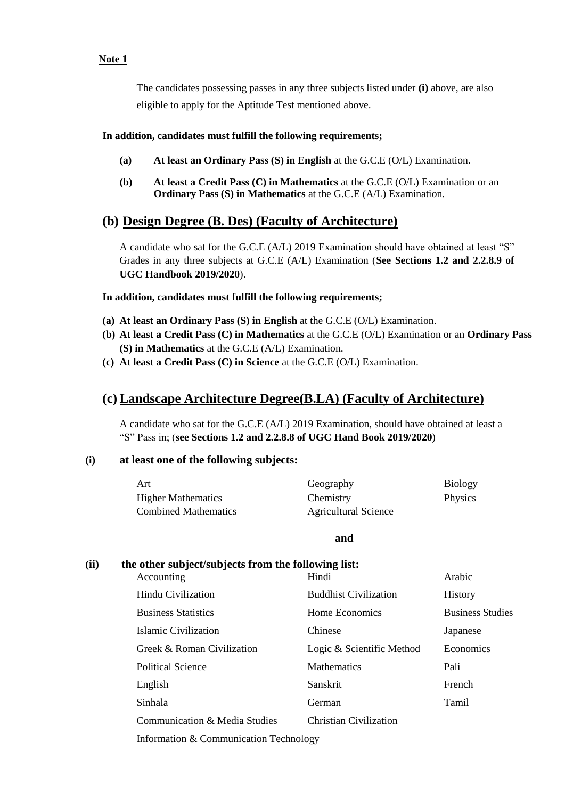#### **Note 1**

The candidates possessing passes in any three subjects listed under **(i)** above, are also eligible to apply for the Aptitude Test mentioned above.

#### **In addition, candidates must fulfill the following requirements;**

- **(a) At least an Ordinary Pass (S) in English** at the G.C.E (O/L) Examination.
- **(b) At least a Credit Pass (C) in Mathematics** at the G.C.E (O/L) Examination or an **Ordinary Pass (S) in Mathematics** at the G.C.E (A/L) Examination.

# **(b) Design Degree (B. Des) (Faculty of Architecture)**

A candidate who sat for the G.C.E (A/L) 2019 Examination should have obtained at least "S" Grades in any three subjects at G.C.E (A/L) Examination (**See Sections 1.2 and 2.2.8.9 of UGC Handbook 2019/2020**).

**In addition, candidates must fulfill the following requirements;**

- **(a) At least an Ordinary Pass (S) in English** at the G.C.E (O/L) Examination.
- **(b) At least a Credit Pass (C) in Mathematics** at the G.C.E (O/L) Examination or an **Ordinary Pass (S) in Mathematics** at the G.C.E (A/L) Examination.
- **(c) At least a Credit Pass (C) in Science** at the G.C.E (O/L) Examination.

# **(c) Landscape Architecture Degree(B.LA) (Faculty of Architecture)**

A candidate who sat for the G.C.E (A/L) 2019 Examination, should have obtained at least a "S" Pass in; (**see Sections 1.2 and 2.2.8.8 of UGC Hand Book 2019/2020**)

#### **(i) at least one of the following subjects:**

| Art                         | Geography                   | <b>Biology</b> |
|-----------------------------|-----------------------------|----------------|
| <b>Higher Mathematics</b>   | Chemistry                   | <b>Physics</b> |
| <b>Combined Mathematics</b> | <b>Agricultural Science</b> |                |

**and**

### **(ii) the other subject/subjects from the following list:**

| Accounting                       | Hindi                        | Arabic                  |
|----------------------------------|------------------------------|-------------------------|
| Hindu Civilization               | <b>Buddhist Civilization</b> | <b>History</b>          |
| <b>Business Statistics</b>       | Home Economics               | <b>Business Studies</b> |
| Islamic Civilization             | Chinese                      | Japanese                |
| Greek & Roman Civilization       | Logic & Scientific Method    | Economics               |
| Political Science                | <b>Mathematics</b>           | Pali                    |
| English                          | Sanskrit                     | French                  |
| Sinhala                          | German                       | Tamil                   |
| Communication $\&$ Media Studies | Christian Civilization       |                         |
|                                  |                              |                         |

Information & Communication Technology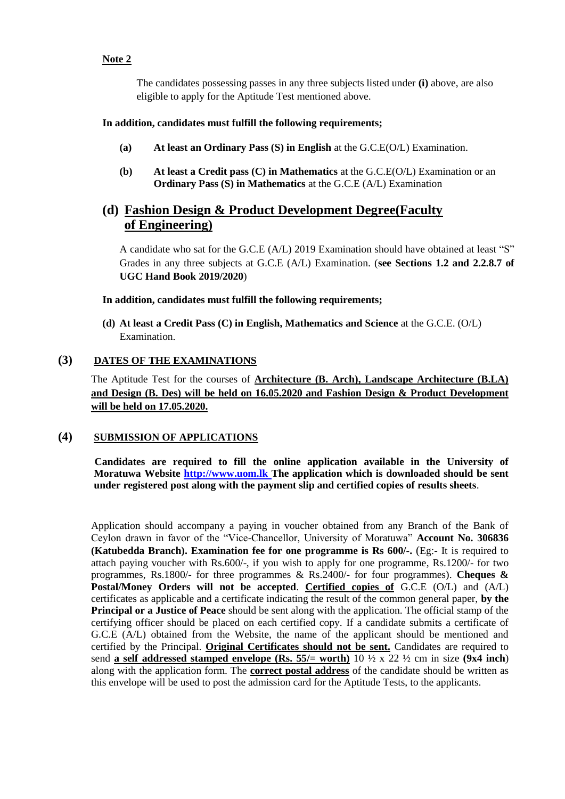#### **Note 2**

The candidates possessing passes in any three subjects listed under **(i)** above, are also eligible to apply for the Aptitude Test mentioned above.

#### **In addition, candidates must fulfill the following requirements;**

- **(a) At least an Ordinary Pass (S) in English** at the G.C.E(O/L) Examination.
- **(b) At least a Credit pass (C) in Mathematics** at the G.C.E(O/L) Examination or an **Ordinary Pass (S) in Mathematics** at the G.C.E (A/L) Examination

# **(d) Fashion Design & Product Development Degree(Faculty of Engineering)**

A candidate who sat for the G.C.E (A/L) 2019 Examination should have obtained at least "S" Grades in any three subjects at G.C.E (A/L) Examination. (**see Sections 1.2 and 2.2.8.7 of UGC Hand Book 2019/2020**)

**In addition, candidates must fulfill the following requirements;**

**(d) At least a Credit Pass (C) in English, Mathematics and Science** at the G.C.E. (O/L) Examination.

## **(3) DATES OF THE EXAMINATIONS**

The Aptitude Test for the courses of **Architecture (B. Arch), Landscape Architecture (B.LA) and Design (B. Des) will be held on 16.05.2020 and Fashion Design & Product Development will be held on 17.05.2020.**

### **(4) SUBMISSION OF APPLICATIONS**

 **Candidates are required to fill the online application available in the University of Moratuwa Website http://www.uom.lk The application which is downloaded should be sent under registered post along with the payment slip and certified copies of results sheets**.

Application should accompany a paying in voucher obtained from any Branch of the Bank of Ceylon drawn in favor of the "Vice-Chancellor, University of Moratuwa" **Account No. 306836 (Katubedda Branch). Examination fee for one programme is Rs 600/-.** (Eg:- It is required to attach paying voucher with Rs.600/-, if you wish to apply for one programme, Rs.1200/- for two programmes, Rs.1800/- for three programmes & Rs.2400/- for four programmes). **Cheques & Postal/Money Orders will not be accepted**. **Certified copies of** G.C.E (O/L) and (A/L) certificates as applicable and a certificate indicating the result of the common general paper, **by the Principal or a Justice of Peace** should be sent along with the application. The official stamp of the certifying officer should be placed on each certified copy. If a candidate submits a certificate of G.C.E (A/L) obtained from the Website, the name of the applicant should be mentioned and certified by the Principal. **Original Certificates should not be sent.** Candidates are required to send **a self addressed stamped envelope (Rs. 55/= worth)** 10 ½ x 22 ½ cm in size **(9x4 inch**) along with the application form. The **correct postal address** of the candidate should be written as this envelope will be used to post the admission card for the Aptitude Tests, to the applicants.